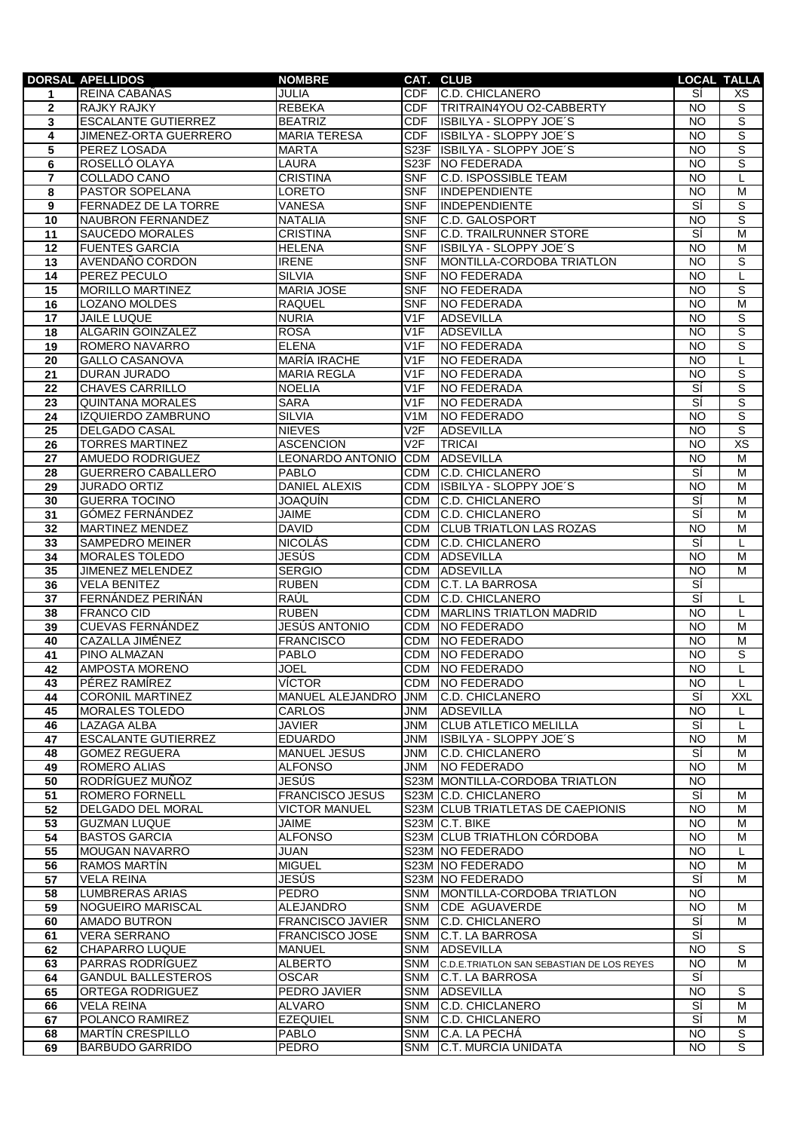|                 | <b>DORSAL APELLIDOS</b>     | <b>NOMBRE</b>           |                   | CAT. CLUB                                 |                 | <b>LOCAL TALLA</b> |
|-----------------|-----------------------------|-------------------------|-------------------|-------------------------------------------|-----------------|--------------------|
| 1               | REINA CABAÑAS               | JULIA                   | <b>CDF</b>        | <b>C.D. CHICLANERO</b>                    | SÍ              | XS                 |
| $\mathbf{2}$    | RAJKY RAJKY                 | <b>REBEKA</b>           | <b>CDF</b>        | TRITRAIN4YOU O2-CABBERTY                  | <b>NO</b>       | $\overline{s}$     |
| 3               | <b>ESCALANTE GUTIERREZ</b>  | <b>BEATRIZ</b>          | CDF               | ISBILYA - SLOPPY JOE'S                    | <b>NO</b>       | $\overline{s}$     |
| 4               | JIMENEZ-ORTA GUERRERO       | <b>MARIA TERESA</b>     | <b>CDF</b>        | ISBILYA - SLOPPY JOE'S                    | <b>NO</b>       | $\overline{s}$     |
| 5               | PEREZ LOSADA                | <b>MARTA</b>            | S <sub>23</sub> F | <b>ISBILYA - SLOPPY JOE'S</b>             | <b>NO</b>       | ड                  |
| 6               | ROSELLÓ OLAYA               | <b>LAURA</b>            |                   | S23F NO FEDERADA                          | <b>NO</b>       | S                  |
|                 |                             |                         |                   |                                           |                 |                    |
| 7               | COLLADO CANO                | <b>CRISTINA</b>         | <b>SNF</b>        | C.D. ISPOSSIBLE TEAM                      | <b>NO</b>       | L                  |
| 8               | PASTOR SOPELANA             | LORETO                  | <b>SNF</b>        | <b>INDEPENDIENTE</b>                      | <b>NO</b>       | M                  |
| 9               | <b>FERNADEZ DE LA TORRE</b> | <b>VANESA</b>           | <b>SNF</b>        | INDEPENDIENTE                             | SÍ              | S                  |
| 10              | <b>NAUBRON FERNANDEZ</b>    | <b>NATALIA</b>          | <b>SNF</b>        | <b>C.D. GALOSPORT</b>                     | <b>NO</b>       | $\overline{s}$     |
| 11              | SAUCEDO MORALES             | <b>CRISTINA</b>         | <b>SNF</b>        | <b>C.D. TRAILRUNNER STORE</b>             | SÍ              | M                  |
| 12              | <b>FUENTES GARCIA</b>       | <b>HELENA</b>           | <b>SNF</b>        | ISBILYA - SLOPPY JOE'S                    | NO              | M                  |
| $\overline{13}$ | AVENDAÑO CORDON             | <b>IRENE</b>            | <b>SNF</b>        | MONTILLA-CORDOBA TRIATLON                 | <b>NO</b>       | S                  |
| 14              | PEREZ PECULO                | <b>SILVIA</b>           | <b>SNF</b>        | <b>NO FEDERADA</b>                        | <b>NO</b>       | L                  |
| 15              | <b>MORILLO MARTINEZ</b>     | <b>MARIA JOSE</b>       | <b>SNF</b>        | <b>NO FEDERADA</b>                        | <b>NO</b>       | S                  |
| 16              | LOZANO MOLDES               | <b>RAQUEL</b>           | <b>SNF</b>        | <b>NO FEDERADA</b>                        | <b>NO</b>       | M                  |
| 17              | <b>JAILE LUQUE</b>          | <b>NURIA</b>            | V1F               | <b>ADSEVILLA</b>                          | <b>NO</b>       | S                  |
| 18              | <b>ALGARIN GOINZALEZ</b>    | <b>ROSA</b>             | V1F               | <b>ADSEVILLA</b>                          | NO              | S                  |
| 19              | ROMERO NAVARRO              | <b>ELENA</b>            | V1F               | <b>NO FEDERADA</b>                        | $\overline{NO}$ | S                  |
| 20              | <b>GALLO CASANOVA</b>       | <b>MARÍA IRACHE</b>     | V1F               | <b>NO FEDERADA</b>                        | NO              | L                  |
| 21              | DURAN JURADO                | <b>MARIA REGLA</b>      | V1F               | <b>NO FEDERADA</b>                        | <b>NO</b>       | $\overline{s}$     |
| 22              | <b>CHAVES CARRILLO</b>      | <b>NOELIA</b>           | V1F               | <b>NO FEDERADA</b>                        | SÍ              | S                  |
|                 | <b>QUINTANA MORALES</b>     | <b>SARA</b>             | V1F               | <b>NO FEDERADA</b>                        | SÍ              | S                  |
| 23              |                             |                         |                   |                                           |                 |                    |
| 24              | IZQUIERDO ZAMBRUNO          | <b>SILVIA</b>           | V <sub>1</sub> M  | <b>NO FEDERADO</b>                        | <b>NO</b>       | $\overline{s}$     |
| 25              | <b>DELGADO CASAL</b>        | <b>NIEVES</b>           | V2F               | <b>ADSEVILLA</b>                          | NO              | ड                  |
| 26              | <b>TORRES MARTINEZ</b>      | <b>ASCENCION</b>        | V2F               | TRICAI                                    | <b>NO</b>       | <b>XS</b>          |
| 27              | AMUEDO RODRIGUEZ            | LEONARDO ANTONIO        | <b>CDM</b>        | <b>ADSEVILLA</b>                          | <b>NO</b>       | M                  |
| 28              | GUERRERO CABALLERO          | <b>PABLO</b>            | <b>CDM</b>        | C.D. CHICLANERO                           | sí              | M                  |
| 29              | <b>JURADO ORTIZ</b>         | <b>DANIEL ALEXIS</b>    | <b>CDM</b>        | ISBILYA - SLOPPY JOE'S                    | <b>NO</b>       | M                  |
| 30              | <b>GUERRA TOCINO</b>        | JOAQUÍN                 | <b>CDM</b>        | C.D. CHICLANERO                           | SÍ              | M                  |
| 31              | GÓMEZ FERNÁNDEZ             | <b>JAIME</b>            | <b>CDM</b>        | C.D. CHICLANERO                           | Ξí              | M                  |
| 32              | <b>MARTINEZ MENDEZ</b>      | <b>DAVID</b>            | <b>CDM</b>        | <b>CLUB TRIATLON LAS ROZAS</b>            | $\overline{N}$  | M                  |
| 33              | SAMPEDRO MEINER             | <b>NICOLÁS</b>          | <b>CDM</b>        | <b>C.D. CHICLANERO</b>                    | sí              | L                  |
| 34              | MORALES TOLEDO              | <b>JESÚS</b>            | <b>CDM</b>        | <b>ADSEVILLA</b>                          | <b>NO</b>       | M                  |
| 35              | JIMENEZ MELENDEZ            | <b>SERGIO</b>           | <b>CDM</b>        | <b>ADSEVILLA</b>                          | <b>NO</b>       | M                  |
| 36              | <b>VELA BENITEZ</b>         | <b>RUBEN</b>            | <b>CDM</b>        | <b>C.T. LA BARROSA</b>                    | SÍ              |                    |
| 37              | FERNÁNDEZ PERIÑÁN           | RAÚL                    | <b>CDM</b>        | <b>C.D. CHICLANERO</b>                    | sí              | L                  |
| 38              | <b>FRANCO CID</b>           | <b>RUBEN</b>            | <b>CDM</b>        | <b>MARLINS TRIATLON MADRID</b>            | <b>NO</b>       | L                  |
| 39              | <b>CUEVAS FERNÁNDEZ</b>     | JESÚS ANTONIO           | <b>CDM</b>        | NO FEDERADO                               | $\overline{N}$  | M                  |
| 40              | CAZALLA JIMÉNEZ             | <b>FRANCISCO</b>        | <b>CDM</b>        | <b>NO FEDERADO</b>                        | <b>NO</b>       | M                  |
| 41              | PINO ALMAZAN                | <b>PABLO</b>            | CDM               | NO FEDERADO                               | <b>NO</b>       | S                  |
|                 | <b>AMPOSTA MORENO</b>       | <b>JOEL</b>             |                   | CDM NO FEDERADO                           | NO              |                    |
| 42              |                             |                         |                   |                                           |                 |                    |
| 43              | PÉREZ RAMÍREZ               | <b>VÍCTOR</b>           | <b>CDM</b>        | NO FEDERADO                               | NO.             | L                  |
| 44              | <b>CORONIL MARTINEZ</b>     | MANUEL ALEJANDRO        | <b>JNM</b>        | C.D. CHICLANERO                           | SÍ              | <b>XXL</b>         |
| 45              | <b>MORALES TOLEDO</b>       | <b>CARLOS</b>           | <b>JNM</b>        | <b>ADSEVILLA</b>                          | $\overline{N}$  | L                  |
| 46              | <b>LAZAGA ALBA</b>          | <b>JAVIER</b>           | JNM               | <b>CLUB ATLETICO MELILLA</b>              | si              | L                  |
| 47              | <b>ESCALANTE GUTIERREZ</b>  | <b>EDUARDO</b>          | JNM               | ISBILYA - SLOPPY JOE'S                    | <b>NO</b>       | M                  |
| 48              | <b>GOMEZ REGUERA</b>        | MANUEL JESUS            | JNM               | <b>C.D. CHICLANERO</b>                    | sí              | м                  |
| 49              | ROMERO ALIAS                | <b>ALFONSO</b>          | JNM               | NO FEDERADO                               | <b>NO</b>       | м                  |
| 50              | RODRÍGUEZ MUÑOZ             | JESÚS                   |                   | S23M MONTILLA-CORDOBA TRIATLON            | <b>NO</b>       |                    |
| 51              | ROMERO FORNELL              | <b>FRANCISCO JESUS</b>  |                   | S23M C.D. CHICLANERO                      | SÍ              | м                  |
| 52              | DELGADO DEL MORAL           | <b>VICTOR MANUEL</b>    |                   | S23M CLUB TRIATLETAS DE CAEPIONIS         | NO              | M                  |
| 53              | <b>GUZMAN LUQUE</b>         | <b>JAIME</b>            |                   | S23M C.T. BIKE                            | <b>NO</b>       | M                  |
| 54              | <b>BASTOS GARCIA</b>        | <b>ALFONSO</b>          |                   | S23M CLUB TRIATHLON CÓRDOBA               | <b>NO</b>       | M                  |
| 55              | <b>MOUGAN NAVARRO</b>       | JUAN                    |                   | S23M NO FEDERADO                          | <b>NO</b>       | L                  |
| 56              | RAMOS MARTIN                | <b>MIGUEL</b>           |                   | S23M NO FEDERADO                          | <b>NO</b>       | м                  |
| 57              | <b>VELA REINA</b>           | <b>JESÚS</b>            |                   | S23M NO FEDERADO                          | SÍ              | M                  |
| 58              | LUMBRERAS ARIAS             | <b>PEDRO</b>            | <b>SNM</b>        | MONTILLA-CORDOBA TRIATLON                 | <b>NO</b>       |                    |
| 59              | NOGUEIRO MARISCAL           | ALEJANDRO               | <b>SNM</b>        | <b>CDE AGUAVERDE</b>                      | <b>NO</b>       | M                  |
| 60              | AMADO BUTRON                | <b>FRANCISCO JAVIER</b> | <b>SNM</b>        | <b>C.D. CHICLANERO</b>                    | Ξí              | м                  |
| 61              | <b>VERA SERRANO</b>         | FRANCISCO JOSE          | <b>SNM</b>        | C.T. LA BARROSA                           | SÍ              |                    |
| 62              | CHAPARRO LUQUE              | <b>MANUEL</b>           | <b>SNM</b>        | ADSEVILLA                                 | <b>NO</b>       | S                  |
| 63              | PARRAS RODRÍGUEZ            | <b>ALBERTO</b>          | <b>SNM</b>        | C.D.E.TRIATLON SAN SEBASTIAN DE LOS REYES | <b>NO</b>       | М                  |
| 64              | <b>GANDUL BALLESTEROS</b>   | <b>OSCAR</b>            | <b>SNM</b>        | <b>C.T. LA BARROSA</b>                    | sí              |                    |
| 65              | ORTEGA RODRIGUEZ            | PEDRO JAVIER            | <b>SNM</b>        | <b>ADSEVILLA</b>                          | <b>NO</b>       | S                  |
|                 |                             |                         | <b>SNM</b>        |                                           | SÍ              | M                  |
| 66              | <b>VELA REINA</b>           | <b>ALVARO</b>           |                   | C.D. CHICLANERO                           | Ξí              |                    |
| 67              | POLANCO RAMIREZ             | <b>EZEQUIEL</b>         | <b>SNM</b>        | C.D. CHICLANERO                           |                 | M                  |
| 68              | <b>MARTÍN CRESPILLO</b>     | PABLO                   | <b>SNM</b>        | C.A. LA PECHA                             | <b>NO</b>       | S                  |
| 69              | <b>BARBUDO GARRIDO</b>      | PEDRO                   | <b>SNM</b>        | C.T. MURCIA UNIDATA                       | <b>NO</b>       | $\overline{s}$     |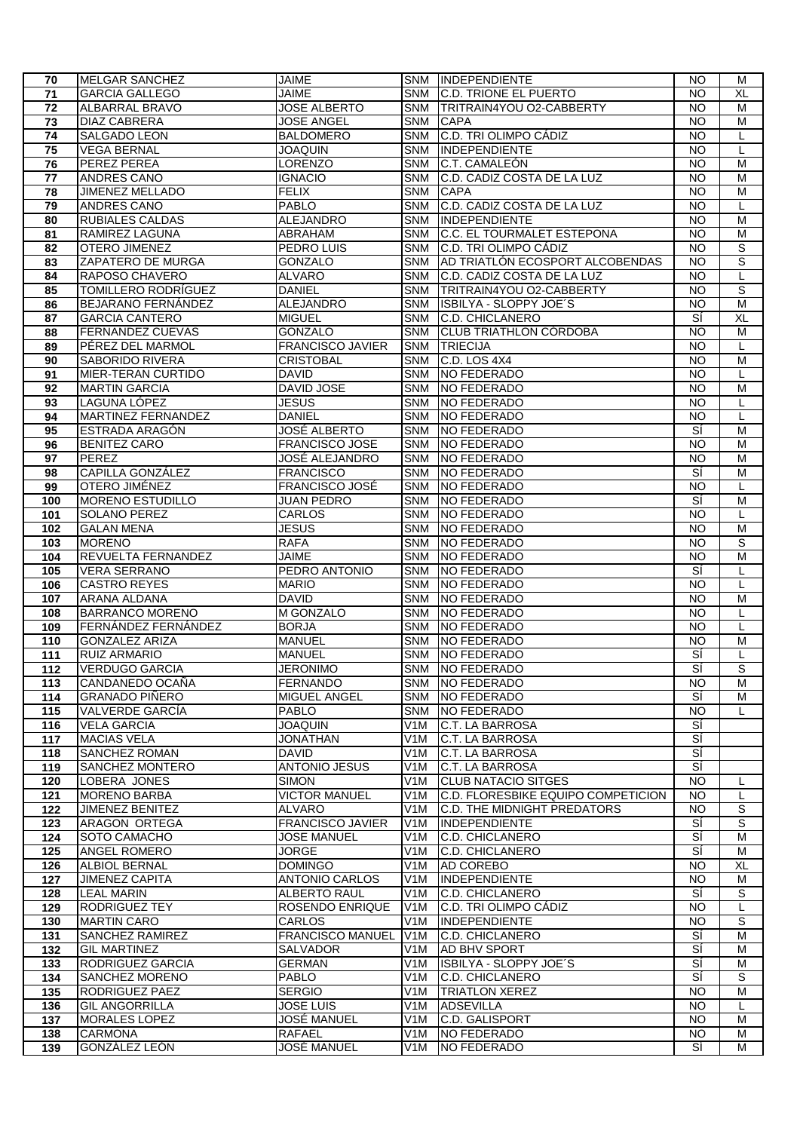| 70  | <b>MELGAR SANCHEZ</b>     | JAIME                   |                  | SNM INDEPENDIENTE                  | <b>NO</b>       | M              |
|-----|---------------------------|-------------------------|------------------|------------------------------------|-----------------|----------------|
| 71  | <b>GARCIA GALLEGO</b>     | <b>JAIME</b>            | <b>SNM</b>       | <b>C.D. TRIONE EL PUERTO</b>       | <b>NO</b>       | XL             |
| 72  | <b>ALBARRAL BRAVO</b>     | <b>JOSE ALBERTO</b>     | <b>SNM</b>       | TRITRAIN4YOU O2-CABBERTY           | <b>NO</b>       | M              |
| 73  | <b>DIAZ CABRERA</b>       | <b>JOSE ANGEL</b>       | <b>SNM</b>       | <b>CAPA</b>                        | <b>NO</b>       | M              |
| 74  | SALGADO LEON              | <b>BALDOMERO</b>        | SNM              | C.D. TRI OLIMPO CÁDIZ              | <b>NO</b>       | L              |
| 75  | <b>VEGA BERNAL</b>        | <b>JOAQUIN</b>          | <b>SNM</b>       | <b>INDEPENDIENTE</b>               | <b>NO</b>       | L              |
| 76  | PEREZ PEREA               | LORENZO                 | <b>SNM</b>       | C.T. CAMALEÓN                      | <b>NO</b>       | M              |
| 77  | <b>ANDRES CANO</b>        | <b>IGNACIO</b>          | <b>SNM</b>       | C.D. CADIZ COSTA DE LA LUZ         | <b>NO</b>       | м              |
| 78  | JIMENEZ MELLADO           | <b>FELIX</b>            | <b>SNM</b>       | <b>CAPA</b>                        | <b>NO</b>       | M              |
| 79  | ANDRES CANO               | <b>PABLO</b>            | <b>SNM</b>       | C.D. CADIZ COSTA DE LA LUZ         | <b>NO</b>       | L              |
| 80  | RUBIALES CALDAS           | ALEJANDRO               | <b>SNM</b>       | INDEPENDIENTE                      | <b>NO</b>       | M              |
| 81  | RAMIREZ LAGUNA            | ABRAHAM                 | <b>SNM</b>       | <b>C.C. EL TOURMALET ESTEPONA</b>  | <b>NO</b>       | м              |
| 82  | OTERO JIMENEZ             | PEDRO LUIS              | <b>SNM</b>       | <b>C.D. TRI OLIMPO CÁDIZ</b>       | $\overline{NQ}$ | S              |
| 83  | ZAPATERO DE MURGA         | <b>GONZALO</b>          | <b>SNM</b>       | AD TRIATLÓN ECOSPORT ALCOBENDAS    | <b>NO</b>       | S              |
| 84  | RAPOSO CHAVERO            | <b>ALVARO</b>           | <b>SNM</b>       | C.D. CADIZ COSTA DE LA LUZ         | <b>NO</b>       | L              |
| 85  | TOMILLERO RODRÍGUEZ       | <b>DANIEL</b>           | <b>SNM</b>       | <b>TRITRAIN4YOU O2-CABBERTY</b>    | <b>NO</b>       | S              |
| 86  | <b>BEJARANO FERNÁNDEZ</b> | ALEJANDRO               | <b>SNM</b>       | ISBILYA - SLOPPY JOE'S             | <b>NO</b>       | M              |
| 87  | <b>GARCIA CANTERO</b>     | <b>MIGUEL</b>           | <b>SNM</b>       | C.D. CHICLANERO                    | sí              | XL             |
|     | <b>FERNANDEZ CUEVAS</b>   | <b>GONZALO</b>          | <b>SNM</b>       | <b>CLUB TRIATHLON CÓRDOBA</b>      | $\overline{NQ}$ | $\overline{M}$ |
| 88  |                           | <b>FRANCISCO JAVIER</b> | <b>SNM</b>       | <b>TRIECIJA</b>                    | N <sub>O</sub>  |                |
| 89  | PÉREZ DEL MARMOL          |                         |                  |                                    |                 | L              |
| 90  | SABORIDO RIVERA           | <b>CRISTOBAL</b>        | <b>SNM</b>       | C.D. LOS 4X4                       | <b>NO</b>       | M              |
| 91  | <b>MIER-TERAN CURTIDO</b> | <b>DAVID</b>            | <b>SNM</b>       | NO FEDERADO                        | <b>NO</b>       | L              |
| 92  | <b>MARTIN GARCIA</b>      | DAVID JOSE              | <b>SNM</b>       | NO FEDERADO                        | <b>NO</b>       | M              |
| 93  | LAGUNA LÓPEZ              | <b>JESUS</b>            | <b>SNM</b>       | NO FEDERADO                        | <b>NO</b>       | L              |
| 94  | <b>MARTINEZ FERNANDEZ</b> | <b>DANIEL</b>           | <b>SNM</b>       | NO FEDERADO                        | <b>NO</b>       | L              |
| 95  | <b>ESTRADA ARAGÓN</b>     | <b>JOSÉ ALBERTO</b>     | <b>SNM</b>       | NO FEDERADO                        | डां             | $\overline{M}$ |
| 96  | <b>BENITEZ CARO</b>       | <b>FRANCISCO JOSE</b>   | <b>SNM</b>       | NO FEDERADO                        | <b>NO</b>       | M              |
| 97  | PEREZ                     | JOSÉ ALEJANDRO          | <b>SNM</b>       | NO FEDERADO                        | <b>NO</b>       | M              |
| 98  | CAPILLA GONZÁLEZ          | <b>FRANCISCO</b>        | <b>SNM</b>       | NO FEDERADO                        | SÍ              | M              |
| 99  | OTERO JIMÉNEZ             | FRANCISCO JOSÉ          | <b>SNM</b>       | NO FEDERADO                        | <b>NO</b>       | L              |
| 100 | <b>MORENO ESTUDILLO</b>   | <b>JUAN PEDRO</b>       | <b>SNM</b>       | NO FEDERADO                        | SÍ              | M              |
| 101 | <b>SOLANO PEREZ</b>       | CARLOS                  | <b>SNM</b>       | <b>NO FEDERADO</b>                 | <b>NO</b>       | L              |
| 102 | <b>GALAN MENA</b>         | <b>JESUS</b>            | <b>SNM</b>       | NO FEDERADO                        | <b>NO</b>       | $\overline{M}$ |
| 103 | <b>MORENO</b>             | <b>RAFA</b>             | <b>SNM</b>       | NO FEDERADO                        | <b>NO</b>       | $\overline{s}$ |
| 104 | REVUELTA FERNANDEZ        | <b>JAIME</b>            | <b>SNM</b>       | NO FEDERADO                        | <b>NO</b>       | M              |
| 105 | <b>VERA SERRANO</b>       | PEDRO ANTONIO           | <b>SNM</b>       | NO FEDERADO                        | sí              | L              |
| 106 | <b>CASTRO REYES</b>       | <b>MARIO</b>            | <b>SNM</b>       | NO FEDERADO                        | <b>NO</b>       | L              |
| 107 | ARANA ALDANA              | <b>DAVID</b>            | <b>SNM</b>       | NO FEDERADO                        | <b>NO</b>       | M              |
| 108 | <b>BARRANCO MORENO</b>    | <b>M GONZALO</b>        | <b>SNM</b>       | NO FEDERADO                        | <b>NO</b>       | L              |
| 109 | FERNÁNDEZ FERNÁNDEZ       | <b>BORJA</b>            | <b>SNM</b>       | NO FEDERADO                        | <b>NO</b>       | L              |
| 110 | <b>GONZALEZ ARIZA</b>     | <b>MANUEL</b>           | <b>SNM</b>       | NO FEDERADO                        | NO              | м              |
| 111 | <b>RUIZ ARMARIO</b>       | <b>MANUEL</b>           | <b>SNM</b>       | NO FEDERADO                        | SÍ              | L              |
| 112 | <b>VERDUGO GARCIA</b>     | <b>JERONIMO</b>         |                  | SNM NO FEDERADO                    | SÍ              | S              |
| 113 | CANDANEDO OCAÑA           | <b>FERNANDO</b>         | <b>SNM</b>       | NO FEDERADO                        | NO.             | м              |
| 114 | <b>GRANADO PIÑERO</b>     | MIGUEL ANGEL            | <b>SNM</b>       | <b>NO FEDERADO</b>                 | SÍ              | м              |
| 115 | VALVERDE GARCÍA           | <b>PABLO</b>            | <b>SNM</b>       | NO FEDERADO                        | <b>NO</b>       | L              |
| 116 | <b>VELA GARCIA</b>        | <b>JOAQUIN</b>          | V1M              | C.T. LA BARROSA                    | si              |                |
| 117 | <b>MACIAS VELA</b>        | <b>JONATHAN</b>         | V <sub>1</sub> M | <b>C.T. LA BARROSA</b>             | ΞÍ              |                |
| 118 | SANCHEZ ROMAN             | <b>DAVID</b>            | V <sub>1</sub> M | C.T. LA BARROSA                    | ΞÍ              |                |
| 119 | <b>SANCHEZ MONTERO</b>    | <b>ANTONIO JESUS</b>    | V1M              | C.T. LA BARROSA                    | ΞÍ              |                |
| 120 | LOBERA JONES              | <b>SIMON</b>            | V <sub>1</sub> M | <b>CLUB NATACIO SITGES</b>         | <b>NO</b>       | L              |
| 121 | <b>MORENO BARBA</b>       | <b>VICTOR MANUEL</b>    | V <sub>1</sub> M | C.D. FLORESBIKE EQUIPO COMPETICION | <b>NO</b>       | L              |
| 122 | <b>JIMENEZ BENITEZ</b>    | <b>ALVARO</b>           | V <sub>1</sub> M | <b>C.D. THE MIDNIGHT PREDATORS</b> | N <sub>O</sub>  | S              |
| 123 | ARAGON ORTEGA             | <b>FRANCISCO JAVIER</b> | V <sub>1</sub> M | INDEPENDIENTE                      | SÍ              | S              |
| 124 | SOTO CAMACHO              | <b>JOSE MANUEL</b>      | V <sub>1</sub> M | C.D. CHICLANERO                    | Ξí              | м              |
| 125 | <b>ANGEL ROMERO</b>       | <b>JORGE</b>            | V <sub>1</sub> M | <b>C.D. CHICLANERO</b>             | Ξí              | м              |
| 126 | <b>ALBIOL BERNAL</b>      | <b>DOMINGO</b>          | V1M              | AD COREBO                          | <b>NO</b>       | XL             |
| 127 | <b>JIMENEZ CAPITA</b>     | <b>ANTONIO CARLOS</b>   | V <sub>1</sub> M | INDEPENDIENTE                      | <b>NO</b>       | М              |
| 128 | <b>LEAL MARIN</b>         | <b>ALBERTO RAUL</b>     | V <sub>1</sub> M | C.D. CHICLANERO                    | SÍ              | S              |
| 129 | <b>RODRIGUEZ TEY</b>      | ROSENDO ENRIQUE         | V1M              | C.D. TRI OLIMPO CÁDIZ              | <b>NO</b>       | L              |
| 130 | <b>MARTIN CARO</b>        | CARLOS                  | V <sub>1</sub> M | INDEPENDIENTE                      | <b>NO</b>       | $\overline{s}$ |
| 131 | <b>SANCHEZ RAMIREZ</b>    | FRANCISCO MANUEL        | V <sub>1</sub> M | C.D. CHICLANERO                    | SÍ              | M              |
| 132 | <b>GIL MARTINEZ</b>       | SALVADOR                | V <sub>1</sub> M | AD BHV SPORT                       | ΞÍ              | M              |
| 133 | RODRIGUEZ GARCIA          | <b>GERMAN</b>           | V <sub>1</sub> M | ISBILYA - SLOPPY JOE'S             | Ξí              | м              |
| 134 | <b>SANCHEZ MORENO</b>     | PABLO                   | V <sub>1</sub> M | C.D. CHICLANERO                    | sí              | S              |
| 135 | RODRIGUEZ PAEZ            | <b>SERGIO</b>           | V <sub>1</sub> M | <b>TRIATLON XEREZ</b>              | <b>NO</b>       | M              |
| 136 | <b>GIL ANGORRILLA</b>     | <b>JOSE LUIS</b>        | V <sub>1</sub> M | <b>ADSEVILLA</b>                   | <b>NO</b>       | L              |
| 137 | <b>MORALES LOPEZ</b>      | JOSÉ MANUEL             | V1M              | C.D. GALISPORT                     | <b>NO</b>       | м              |
| 138 | <b>CARMONA</b>            | RAFAEL                  | V1M              | NO FEDERADO                        | <b>NO</b>       | M              |
|     |                           |                         |                  |                                    |                 |                |
| 139 | GONZÁLEZ LEÓN             | JOSÉ MANUEL             | V1M              | <b>NO FEDERADO</b>                 | SÍ              | М              |